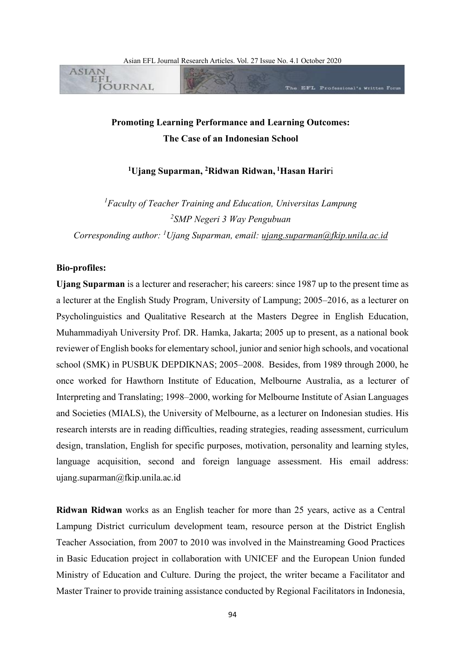

# **Promoting Learning Performance and Learning Outcomes: The Case of an Indonesian School**

# **<sup>1</sup>Ujang Suparman, <sup>2</sup>Ridwan Ridwan, <sup>1</sup>Hasan Harir**i

*<sup>1</sup>Faculty of Teacher Training and Education, Universitas Lampung 2 SMP Negeri 3 Way Pengubuan Corresponding author: <sup>1</sup>Ujang Suparman, email: [ujang.suparman@fkip.unila.ac.id](mailto:ujang.suparman@fkip.unila.ac.id)*

#### **Bio-profiles:**

**Ujang Suparman** is a lecturer and reseracher; his careers: since 1987 up to the present time as a lecturer at the English Study Program, University of Lampung; 2005–2016, as a lecturer on Psycholinguistics and Qualitative Research at the Masters Degree in English Education, Muhammadiyah University Prof. DR. Hamka, Jakarta; 2005 up to present, as a national book reviewer of English books for elementary school, junior and senior high schools, and vocational school (SMK) in PUSBUK DEPDIKNAS; 2005–2008. Besides, from 1989 through 2000, he once worked for Hawthorn Institute of Education, Melbourne Australia, as a lecturer of Interpreting and Translating; 1998–2000, working for Melbourne Institute of Asian Languages and Societies (MIALS), the University of Melbourne, as a lecturer on Indonesian studies. His research intersts are in reading difficulties, reading strategies, reading assessment, curriculum design, translation, English for specific purposes, motivation, personality and learning styles, language acquisition, second and foreign language assessment. His email address: ujang.suparman@fkip.unila.ac.id

**Ridwan Ridwan** works as an English teacher for more than 25 years, active as a Central Lampung District curriculum development team, resource person at the District English Teacher Association, from 2007 to 2010 was involved in the Mainstreaming Good Practices in Basic Education project in collaboration with UNICEF and the European Union funded Ministry of Education and Culture. During the project, the writer became a Facilitator and Master Trainer to provide training assistance conducted by Regional Facilitators in Indonesia,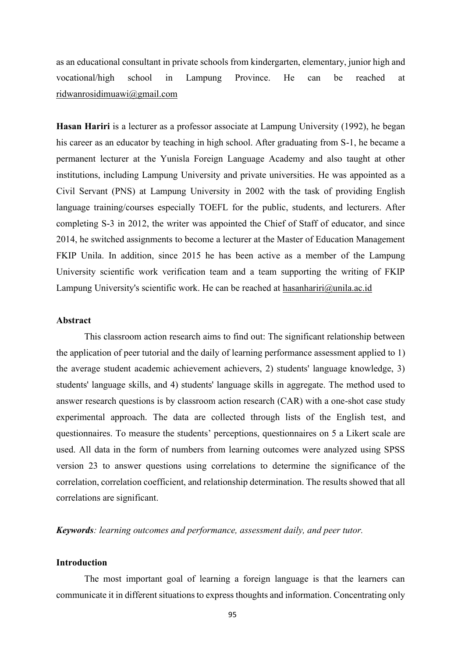as an educational consultant in private schools from kindergarten, elementary, junior high and vocational/high school in Lampung Province. He can be reached at [ridwanrosidimuawi@gmail.com](mailto:ridwanrosidimuawi@gmail.com)

**Hasan Hariri** is a lecturer as a professor associate at Lampung University (1992), he began his career as an educator by teaching in high school. After graduating from S-1, he became a permanent lecturer at the Yunisla Foreign Language Academy and also taught at other institutions, including Lampung University and private universities. He was appointed as a Civil Servant (PNS) at Lampung University in 2002 with the task of providing English language training/courses especially TOEFL for the public, students, and lecturers. After completing S-3 in 2012, the writer was appointed the Chief of Staff of educator, and since 2014, he switched assignments to become a lecturer at the Master of Education Management FKIP Unila. In addition, since 2015 he has been active as a member of the Lampung University scientific work verification team and a team supporting the writing of FKIP Lampung University's scientific work. He can be reached at [hasanhariri@unila.ac.id](mailto:hasanhariri@unila.ac.id)

# **Abstract**

This classroom action research aims to find out: The significant relationship between the application of peer tutorial and the daily of learning performance assessment applied to 1) the average student academic achievement achievers, 2) students' language knowledge, 3) students' language skills, and 4) students' language skills in aggregate. The method used to answer research questions is by classroom action research (CAR) with a one-shot case study experimental approach. The data are collected through lists of the English test, and questionnaires. To measure the students' perceptions, questionnaires on 5 a Likert scale are used. All data in the form of numbers from learning outcomes were analyzed using SPSS version 23 to answer questions using correlations to determine the significance of the correlation, correlation coefficient, and relationship determination. The results showed that all correlations are significant.

*Keywords: learning outcomes and performance, assessment daily, and peer tutor.*

# **Introduction**

The most important goal of learning a foreign language is that the learners can communicate it in different situations to express thoughts and information. Concentrating only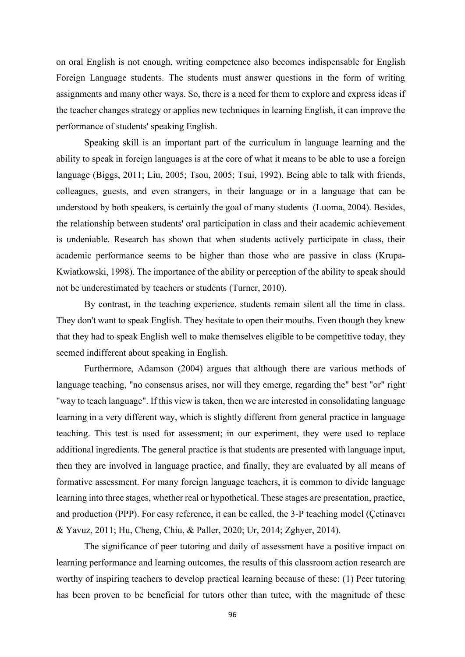on oral English is not enough, writing competence also becomes indispensable for English Foreign Language students. The students must answer questions in the form of writing assignments and many other ways. So, there is a need for them to explore and express ideas if the teacher changes strategy or applies new techniques in learning English, it can improve the performance of students' speaking English.

Speaking skill is an important part of the curriculum in language learning and the ability to speak in foreign languages is at the core of what it means to be able to use a foreign language [\(Biggs, 2011;](#page-12-0) [Liu, 2005;](#page-14-0) [Tsou, 2005;](#page-15-0) [Tsui, 1992\)](#page-15-1). Being able to talk with friends, colleagues, guests, and even strangers, in their language or in a language that can be understood by both speakers, is certainly the goal of many students [\(Luoma, 2004\)](#page-14-1). Besides, the relationship between students' oral participation in class and their academic achievement is undeniable. Research has shown that when students actively participate in class, their academic performance seems to be higher than those who are passive in class [\(Krupa-](#page-14-2)[Kwiatkowski, 1998\)](#page-14-2). The importance of the ability or perception of the ability to speak should not be underestimated by teachers or students [\(Turner, 2010\)](#page-15-2).

By contrast, in the teaching experience, students remain silent all the time in class. They don't want to speak English. They hesitate to open their mouths. Even though they knew that they had to speak English well to make themselves eligible to be competitive today, they seemed indifferent about speaking in English.

Furthermore, [Adamson \(2004\)](#page-12-1) argues that although there are various methods of language teaching, "no consensus arises, nor will they emerge, regarding the" best "or" right "way to teach language". If this view is taken, then we are interested in consolidating language learning in a very different way, which is slightly different from general practice in language teaching. This test is used for assessment; in our experiment, they were used to replace additional ingredients. The general practice is that students are presented with language input, then they are involved in language practice, and finally, they are evaluated by all means of formative assessment. For many foreign language teachers, it is common to divide language learning into three stages, whether real or hypothetical. These stages are presentation, practice, and production (PPP). For easy reference, it can be called, the 3-P teaching model [\(Çetinavcı](#page-13-0)  [& Yavuz, 2011;](#page-13-0) [Hu, Cheng, Chiu, & Paller, 2020;](#page-13-1) [Ur, 2014;](#page-15-3) [Zghyer, 2014\)](#page-16-0).

The significance of peer tutoring and daily of assessment have a positive impact on learning performance and learning outcomes, the results of this classroom action research are worthy of inspiring teachers to develop practical learning because of these: (1) Peer tutoring has been proven to be beneficial for tutors other than tutee, with the magnitude of these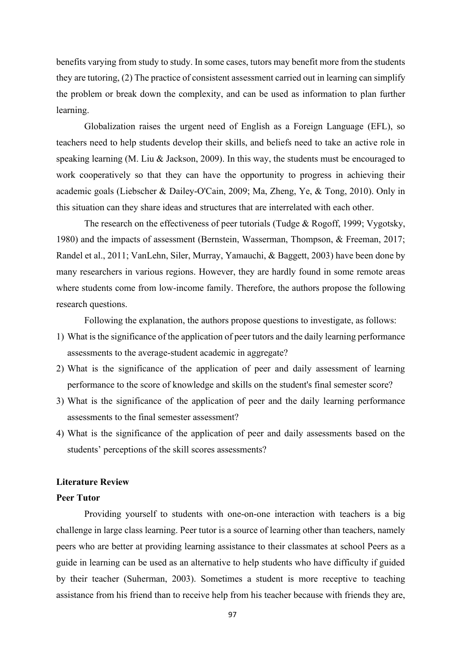benefits varying from study to study. In some cases, tutors may benefit more from the students they are tutoring, (2) The practice of consistent assessment carried out in learning can simplify the problem or break down the complexity, and can be used as information to plan further learning.

Globalization raises the urgent need of English as a Foreign Language (EFL), so teachers need to help students develop their skills, and beliefs need to take an active role in speaking learning (M. Liu & Jackson, 2009). In this way, the students must be encouraged to work cooperatively so that they can have the opportunity to progress in achieving their academic goals [\(Liebscher & Dailey‐O'Cain, 2009;](#page-14-3) [Ma, Zheng, Ye, & Tong, 2010\)](#page-14-4). Only in this situation can they share ideas and structures that are interrelated with each other.

The research on the effectiveness of peer tutorials [\(Tudge & Rogoff, 1999;](#page-15-4) [Vygotsky,](#page-16-1)  [1980\)](#page-16-1) and the impacts of assessment [\(Bernstein, Wasserman, Thompson, & Freeman, 2017;](#page-12-2) [Randel et al., 2011;](#page-15-5) [VanLehn, Siler, Murray, Yamauchi, & Baggett, 2003\)](#page-15-6) have been done by many researchers in various regions. However, they are hardly found in some remote areas where students come from low-income family. Therefore, the authors propose the following research questions.

Following the explanation, the authors propose questions to investigate, as follows:

- 1) What is the significance of the application of peer tutors and the daily learning performance assessments to the average-student academic in aggregate?
- 2) What is the significance of the application of peer and daily assessment of learning performance to the score of knowledge and skills on the student's final semester score?
- 3) What is the significance of the application of peer and the daily learning performance assessments to the final semester assessment?
- 4) What is the significance of the application of peer and daily assessments based on the students' perceptions of the skill scores assessments?

### **Literature Review**

### **Peer Tutor**

Providing yourself to students with one-on-one interaction with teachers is a big challenge in large class learning. Peer tutor is a source of learning other than teachers, namely peers who are better at providing learning assistance to their classmates at school Peers as a guide in learning can be used as an alternative to help students who have difficulty if guided by their teacher [\(Suherman, 2003\)](#page-15-7). Sometimes a student is more receptive to teaching assistance from his friend than to receive help from his teacher because with friends they are,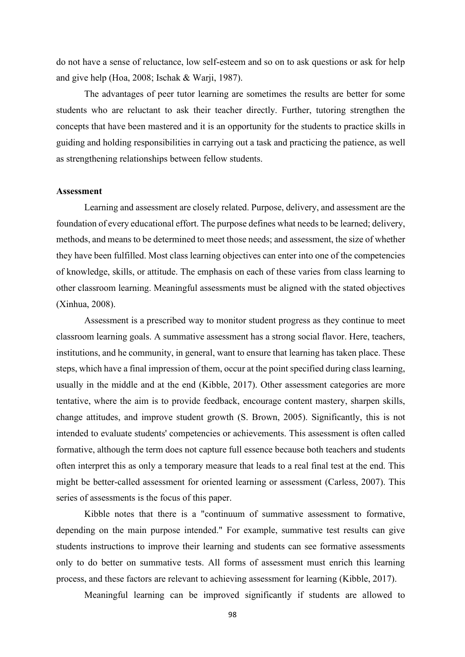do not have a sense of reluctance, low self-esteem and so on to ask questions or ask for help and give help [\(Hoa, 2008;](#page-13-2) [Ischak & Warji, 1987\)](#page-13-3).

The advantages of peer tutor learning are sometimes the results are better for some students who are reluctant to ask their teacher directly. Further, tutoring strengthen the concepts that have been mastered and it is an opportunity for the students to practice skills in guiding and holding responsibilities in carrying out a task and practicing the patience, as well as strengthening relationships between fellow students.

### **Assessment**

Learning and assessment are closely related. Purpose, delivery, and assessment are the foundation of every educational effort. The purpose defines what needs to be learned; delivery, methods, and means to be determined to meet those needs; and assessment, the size of whether they have been fulfilled. Most class learning objectives can enter into one of the competencies of knowledge, skills, or attitude. The emphasis on each of these varies from class learning to other classroom learning. Meaningful assessments must be aligned with the stated objectives [\(Xinhua, 2008\)](#page-16-2).

Assessment is a prescribed way to monitor student progress as they continue to meet classroom learning goals. A summative assessment has a strong social flavor. Here, teachers, institutions, and he community, in general, want to ensure that learning has taken place. These steps, which have a final impression of them, occur at the point specified during class learning, usually in the middle and at the end [\(Kibble, 2017\)](#page-14-5). Other assessment categories are more tentative, where the aim is to provide feedback, encourage content mastery, sharpen skills, change attitudes, and improve student growth [\(S. Brown, 2005\)](#page-13-4). Significantly, this is not intended to evaluate students' competencies or achievements. This assessment is often called formative, although the term does not capture full essence because both teachers and students often interpret this as only a temporary measure that leads to a real final test at the end. This might be better-called assessment for oriented learning or assessment [\(Carless, 2007\)](#page-13-5). This series of assessments is the focus of this paper.

Kibble notes that there is a "continuum of summative assessment to formative, depending on the main purpose intended." For example, summative test results can give students instructions to improve their learning and students can see formative assessments only to do better on summative tests. All forms of assessment must enrich this learning process, and these factors are relevant to achieving assessment for learning [\(Kibble, 2017\)](#page-14-5).

Meaningful learning can be improved significantly if students are allowed to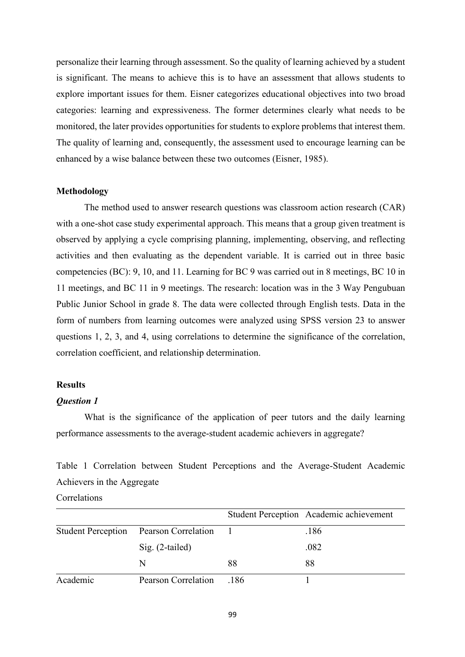personalize their learning through assessment. So the quality of learning achieved by a student is significant. The means to achieve this is to have an assessment that allows students to explore important issues for them. Eisner categorizes educational objectives into two broad categories: learning and expressiveness. The former determines clearly what needs to be monitored, the later provides opportunities for students to explore problems that interest them. The quality of learning and, consequently, the assessment used to encourage learning can be enhanced by a wise balance between these two outcomes [\(Eisner, 1985\)](#page-13-6).

### **Methodology**

The method used to answer research questions was classroom action research (CAR) with a one-shot case study experimental approach. This means that a group given treatment is observed by applying a cycle comprising planning, implementing, observing, and reflecting activities and then evaluating as the dependent variable. It is carried out in three basic competencies (BC): 9, 10, and 11. Learning for BC 9 was carried out in 8 meetings, BC 10 in 11 meetings, and BC 11 in 9 meetings. The research: location was in the 3 Way Pengubuan Public Junior School in grade 8. The data were collected through English tests. Data in the form of numbers from learning outcomes were analyzed using SPSS version 23 to answer questions 1, 2, 3, and 4, using correlations to determine the significance of the correlation, correlation coefficient, and relationship determination.

### **Results**

### *Question 1*

What is the significance of the application of peer tutors and the daily learning performance assessments to the average-student academic achievers in aggregate?

Table 1 Correlation between Student Perceptions and the Average-Student Academic Achievers in the Aggregate

### **Correlations**

|          |                                        |      | Student Perception Academic achievement |
|----------|----------------------------------------|------|-----------------------------------------|
|          | Student Perception Pearson Correlation |      | .186                                    |
|          | $Sig. (2-tailed)$                      |      | .082                                    |
|          | N                                      | 88   | 88                                      |
| Academic | Pearson Correlation                    | .186 |                                         |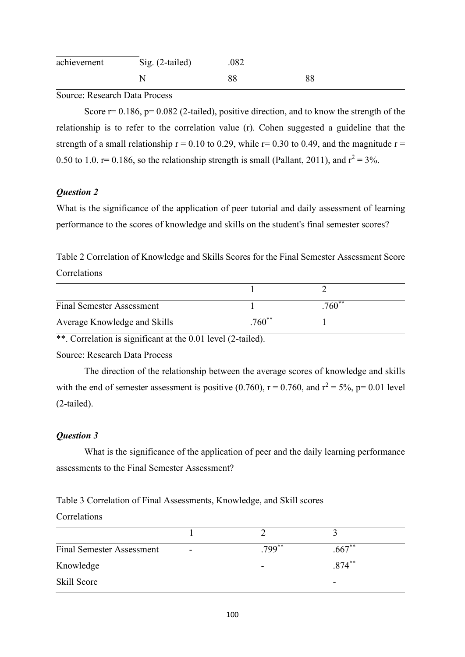| achievement | $Sig. (2-tailed)$ | .082 |    |
|-------------|-------------------|------|----|
|             |                   | 88   | 88 |

Source: Research Data Process

Score  $r= 0.186$ ,  $p= 0.082$  (2-tailed), positive direction, and to know the strength of the relationship is to refer to the correlation value (r). Cohen suggested a guideline that the strength of a small relationship  $r = 0.10$  to 0.29, while  $r = 0.30$  to 0.49, and the magnitude  $r =$ 0.50 to 1.0.  $r=0.186$ , so the relationship strength is small (Pallant, 2011), and  $r^2 = 3\%$ .

# *Question 2*

What is the significance of the application of peer tutorial and daily assessment of learning performance to the scores of knowledge and skills on the student's final semester scores?

Table 2 Correlation of Knowledge and Skills Scores for the Final Semester Assessment Score Correlations

| <b>Final Semester Assessment</b> |          | $760^{**}$ |  |
|----------------------------------|----------|------------|--|
| Average Knowledge and Skills     | $.760**$ |            |  |

\*\*. Correlation is significant at the 0.01 level (2-tailed).

Source: Research Data Process

The direction of the relationship between the average scores of knowledge and skills with the end of semester assessment is positive (0.760),  $r = 0.760$ , and  $r^2 = 5\%$ ,  $p = 0.01$  level (2-tailed).

# *Question 3*

What is the significance of the application of peer and the daily learning performance assessments to the Final Semester Assessment?

Table 3 Correlation of Final Assessments, Knowledge, and Skill scores

# Correlations

| <b>Final Semester Assessment</b> | $\overline{\phantom{a}}$ | $.799***$ | $.667**$  |  |
|----------------------------------|--------------------------|-----------|-----------|--|
| Knowledge                        |                          | ۰         | $.874***$ |  |
| Skill Score                      |                          |           | -         |  |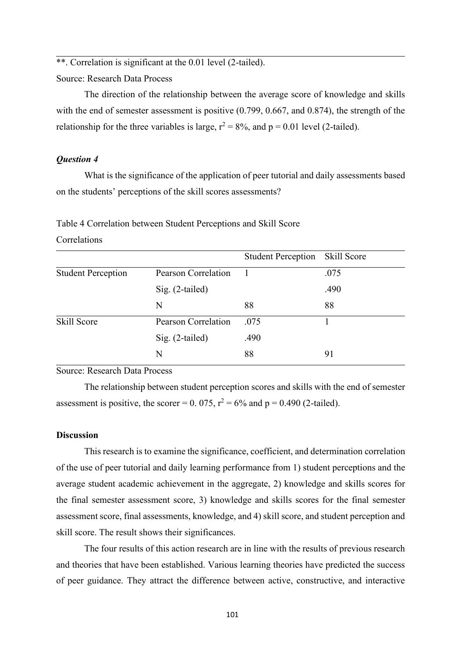\*\*. Correlation is significant at the 0.01 level (2-tailed).

Source: Research Data Process

The direction of the relationship between the average score of knowledge and skills with the end of semester assessment is positive (0.799, 0.667, and 0.874), the strength of the relationship for the three variables is large,  $r^2 = 8\%$ , and  $p = 0.01$  level (2-tailed).

# *Question 4*

What is the significance of the application of peer tutorial and daily assessments based on the students' perceptions of the skill scores assessments?

| Table 4 Correlation between Student Perceptions and Skill Score |  |
|-----------------------------------------------------------------|--|
|-----------------------------------------------------------------|--|

# Correlations

|                           |                     | <b>Student Perception</b> Skill Score |      |
|---------------------------|---------------------|---------------------------------------|------|
| <b>Student Perception</b> | Pearson Correlation |                                       | .075 |
|                           | $Sig. (2-tailed)$   |                                       | .490 |
|                           | N                   | 88                                    | 88   |
| Skill Score               | Pearson Correlation | .075                                  |      |
|                           | $Sig. (2-tailed)$   | .490                                  |      |
|                           | N                   | 88                                    | 91   |

Source: Research Data Process

The relationship between student perception scores and skills with the end of semester assessment is positive, the scorer = 0. 075,  $r^2 = 6\%$  and p = 0.490 (2-tailed).

### **Discussion**

This research is to examine the significance, coefficient, and determination correlation of the use of peer tutorial and daily learning performance from 1) student perceptions and the average student academic achievement in the aggregate, 2) knowledge and skills scores for the final semester assessment score, 3) knowledge and skills scores for the final semester assessment score, final assessments, knowledge, and 4) skill score, and student perception and skill score. The result shows their significances.

The four results of this action research are in line with the results of previous research and theories that have been established. Various learning theories have predicted the success of peer guidance. They attract the difference between active, constructive, and interactive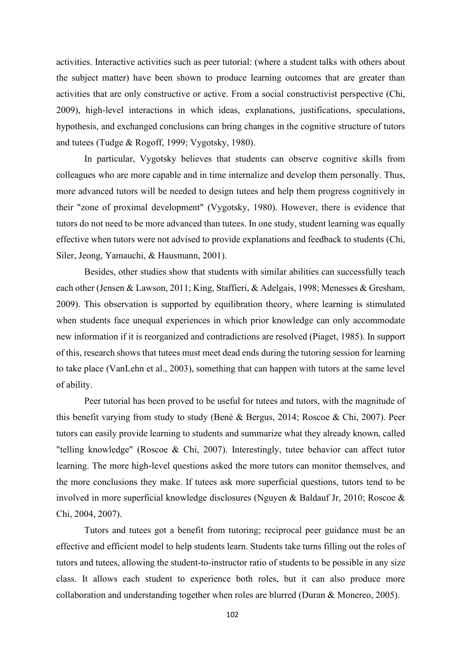activities. Interactive activities such as peer tutorial: (where a student talks with others about the subject matter) have been shown to produce learning outcomes that are greater than activities that are only constructive or active. From a social constructivist perspective (Chi, 2009), high-level interactions in which ideas, explanations, justifications, speculations, hypothesis, and exchanged conclusions can bring changes in the cognitive structure of tutors and tutees [\(Tudge & Rogoff, 1999;](#page-15-4) [Vygotsky, 1980\)](#page-16-1).

In particular, Vygotsky believes that students can observe cognitive skills from colleagues who are more capable and in time internalize and develop them personally. Thus, more advanced tutors will be needed to design tutees and help them progress cognitively in their "zone of proximal development" [\(Vygotsky, 1980\)](#page-16-1). However, there is evidence that tutors do not need to be more advanced than tutees. In one study, student learning was equally effective when tutors were not advised to provide explanations and feedback to students [\(Chi,](#page-13-7)  [Siler, Jeong, Yamauchi, & Hausmann, 2001\)](#page-13-7).

Besides, other studies show that students with similar abilities can successfully teach each other [\(Jensen & Lawson, 2011;](#page-13-8) [King, Staffieri, & Adelgais, 1998;](#page-14-6) [Menesses & Gresham,](#page-14-7)  [2009\)](#page-14-7). This observation is supported by equilibration theory, where learning is stimulated when students face unequal experiences in which prior knowledge can only accommodate new information if it is reorganized and contradictions are resolved (Piaget, 1985). In support of this, research shows that tutees must meet dead ends during the tutoring session for learning to take place [\(VanLehn et al., 2003\)](#page-15-6), something that can happen with tutors at the same level of ability.

Peer tutorial has been proved to be useful for tutees and tutors, with the magnitude of this benefit varying from study to study [\(Benè & Bergus, 2014;](#page-12-3) [Roscoe & Chi, 2007\)](#page-15-8). Peer tutors can easily provide learning to students and summarize what they already known, called "telling knowledge" [\(Roscoe & Chi, 2007\)](#page-15-8). Interestingly, tutee behavior can affect tutor learning. The more high-level questions asked the more tutors can monitor themselves, and the more conclusions they make. If tutees ask more superficial questions, tutors tend to be involved in more superficial knowledge disclosures [\(Nguyen & Baldauf Jr, 2010;](#page-14-8) [Roscoe &](#page-15-9)  [Chi, 2004,](#page-15-9) [2007\)](#page-15-8).

Tutors and tutees got a benefit from tutoring; reciprocal peer guidance must be an effective and efficient model to help students learn. Students take turns filling out the roles of tutors and tutees, allowing the student-to-instructor ratio of students to be possible in any size class. It allows each student to experience both roles, but it can also produce more collaboration and understanding together when roles are blurred [\(Duran & Monereo, 2005\)](#page-13-9).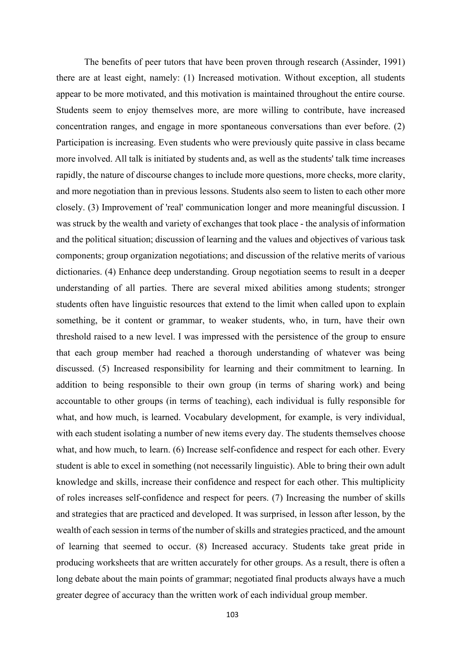The benefits of peer tutors that have been proven through research [\(Assinder, 1991\)](#page-12-4) there are at least eight, namely: (1) Increased motivation. Without exception, all students appear to be more motivated, and this motivation is maintained throughout the entire course. Students seem to enjoy themselves more, are more willing to contribute, have increased concentration ranges, and engage in more spontaneous conversations than ever before. (2) Participation is increasing. Even students who were previously quite passive in class became more involved. All talk is initiated by students and, as well as the students' talk time increases rapidly, the nature of discourse changes to include more questions, more checks, more clarity, and more negotiation than in previous lessons. Students also seem to listen to each other more closely. (3) Improvement of 'real' communication longer and more meaningful discussion. I was struck by the wealth and variety of exchanges that took place - the analysis of information and the political situation; discussion of learning and the values and objectives of various task components; group organization negotiations; and discussion of the relative merits of various dictionaries. (4) Enhance deep understanding. Group negotiation seems to result in a deeper understanding of all parties. There are several mixed abilities among students; stronger students often have linguistic resources that extend to the limit when called upon to explain something, be it content or grammar, to weaker students, who, in turn, have their own threshold raised to a new level. I was impressed with the persistence of the group to ensure that each group member had reached a thorough understanding of whatever was being discussed. (5) Increased responsibility for learning and their commitment to learning. In addition to being responsible to their own group (in terms of sharing work) and being accountable to other groups (in terms of teaching), each individual is fully responsible for what, and how much, is learned. Vocabulary development, for example, is very individual, with each student isolating a number of new items every day. The students themselves choose what, and how much, to learn. (6) Increase self-confidence and respect for each other. Every student is able to excel in something (not necessarily linguistic). Able to bring their own adult knowledge and skills, increase their confidence and respect for each other. This multiplicity of roles increases self-confidence and respect for peers. (7) Increasing the number of skills and strategies that are practiced and developed. It was surprised, in lesson after lesson, by the wealth of each session in terms of the number of skills and strategies practiced, and the amount of learning that seemed to occur. (8) Increased accuracy. Students take great pride in producing worksheets that are written accurately for other groups. As a result, there is often a long debate about the main points of grammar; negotiated final products always have a much greater degree of accuracy than the written work of each individual group member.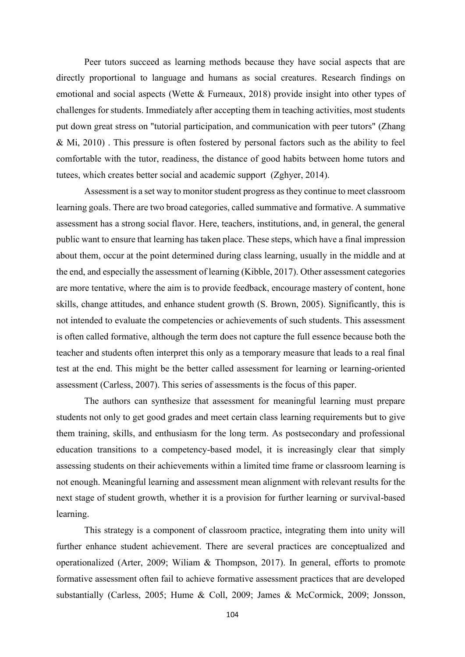Peer tutors succeed as learning methods because they have social aspects that are directly proportional to language and humans as social creatures. Research findings on emotional and social aspects [\(Wette & Furneaux, 2018\)](#page-16-3) provide insight into other types of challenges for students. Immediately after accepting them in teaching activities, most students put down great stress on "tutorial participation, and communication with peer tutors" [\(Zhang](#page-16-4)  [& Mi, 2010\)](#page-16-4) . This pressure is often fostered by personal factors such as the ability to feel comfortable with the tutor, readiness, the distance of good habits between home tutors and tutees, which creates better social and academic support [\(Zghyer, 2014\)](#page-16-0).

Assessment is a set way to monitor student progress as they continue to meet classroom learning goals. There are two broad categories, called summative and formative. A summative assessment has a strong social flavor. Here, teachers, institutions, and, in general, the general public want to ensure that learning has taken place. These steps, which have a final impression about them, occur at the point determined during class learning, usually in the middle and at the end, and especially the assessment of learning (Kibble, 2017). Other assessment categories are more tentative, where the aim is to provide feedback, encourage mastery of content, hone skills, change attitudes, and enhance student growth (S. Brown, 2005). Significantly, this is not intended to evaluate the competencies or achievements of such students. This assessment is often called formative, although the term does not capture the full essence because both the teacher and students often interpret this only as a temporary measure that leads to a real final test at the end. This might be the better called assessment for learning or learning-oriented assessment [\(Carless, 2007\)](#page-13-5). This series of assessments is the focus of this paper.

The authors can synthesize that assessment for meaningful learning must prepare students not only to get good grades and meet certain class learning requirements but to give them training, skills, and enthusiasm for the long term. As postsecondary and professional education transitions to a competency-based model, it is increasingly clear that simply assessing students on their achievements within a limited time frame or classroom learning is not enough. Meaningful learning and assessment mean alignment with relevant results for the next stage of student growth, whether it is a provision for further learning or survival-based learning.

This strategy is a component of classroom practice, integrating them into unity will further enhance student achievement. There are several practices are conceptualized and operationalized [\(Arter, 2009;](#page-12-5) [Wiliam & Thompson, 2017\)](#page-16-5). In general, efforts to promote formative assessment often fail to achieve formative assessment practices that are developed substantially [\(Carless, 2005;](#page-13-10) [Hume & Coll, 2009;](#page-13-11) [James & McCormick, 2009;](#page-13-12) [Jonsson,](#page-14-9)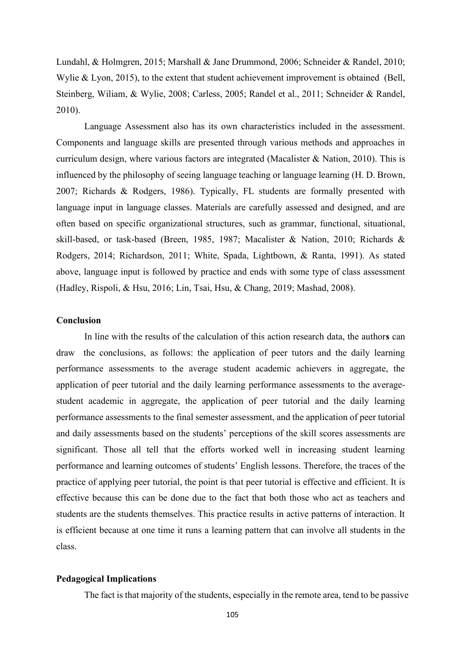[Lundahl, & Holmgren, 2015;](#page-14-9) [Marshall & Jane Drummond, 2006;](#page-14-10) [Schneider & Randel, 2010;](#page-15-10) Wylie [& Lyon, 2015\)](#page-16-6), to the extent that student achievement improvement is obtained [\(Bell,](#page-12-6)  [Steinberg, Wiliam, & Wylie, 2008;](#page-12-6) [Carless, 2005;](#page-13-10) [Randel et al., 2011;](#page-15-5) [Schneider & Randel,](#page-15-10)  [2010\)](#page-15-10).

Language Assessment also has its own characteristics included in the assessment. Components and language skills are presented through various methods and approaches in curriculum design, where various factors are integrated [\(Macalister & Nation, 2010\)](#page-14-11). This is influenced by the philosophy of seeing language teaching or language learning [\(H. D. Brown,](#page-13-13)  [2007;](#page-13-13) [Richards & Rodgers, 1986\)](#page-15-11). Typically, FL students are formally presented with language input in language classes. Materials are carefully assessed and designed, and are often based on specific organizational structures, such as grammar, functional, situational, skill-based, or task-based [\(Breen, 1985,](#page-12-7) [1987;](#page-12-8) [Macalister & Nation,](#page-14-11) 2010; [Richards &](#page-15-12)  [Rodgers, 2014;](#page-15-12) [Richardson, 2011;](#page-15-13) [White, Spada, Lightbown, & Ranta, 1991\)](#page-16-7). As stated above, language input is followed by practice and ends with some type of class assessment [\(Hadley, Rispoli, & Hsu, 2016;](#page-13-14) [Lin, Tsai, Hsu, & Chang, 2019;](#page-14-12) [Mashad, 2008\)](#page-14-13).

### **Conclusion**

In line with the results of the calculation of this action research data, the author**s** can draw the conclusions, as follows: the application of peer tutors and the daily learning performance assessments to the average student academic achievers in aggregate, the application of peer tutorial and the daily learning performance assessments to the averagestudent academic in aggregate, the application of peer tutorial and the daily learning performance assessments to the final semester assessment, and the application of peer tutorial and daily assessments based on the students' perceptions of the skill scores assessments are significant. Those all tell that the efforts worked well in increasing student learning performance and learning outcomes of students' English lessons. Therefore, the traces of the practice of applying peer tutorial, the point is that peer tutorial is effective and efficient. It is effective because this can be done due to the fact that both those who act as teachers and students are the students themselves. This practice results in active patterns of interaction. It is efficient because at one time it runs a learning pattern that can involve all students in the class.

### **Pedagogical Implications**

The fact is that majority of the students, especially in the remote area, tend to be passive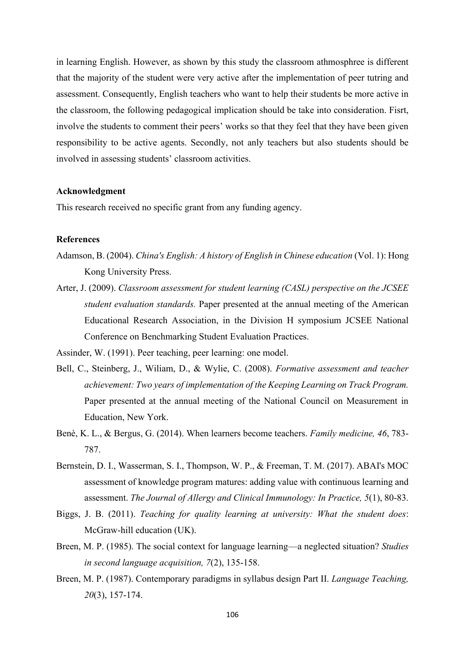in learning English. However, as shown by this study the classroom athmosphree is different that the majority of the student were very active after the implementation of peer tutring and assessment. Consequently, English teachers who want to help their students be more active in the classroom, the following pedagogical implication should be take into consideration. Fisrt, involve the students to comment their peers' works so that they feel that they have been given responsibility to be active agents. Secondly, not anly teachers but also students should be involved in assessing students' classroom activities.

### **Acknowledgment**

This research received no specific grant from any funding agency.

### **References**

- <span id="page-12-1"></span>Adamson, B. (2004). *China's English: A history of English in Chinese education* (Vol. 1): Hong Kong University Press.
- <span id="page-12-5"></span>Arter, J. (2009). *Classroom assessment for student learning (CASL) perspective on the JCSEE student evaluation standards.* Paper presented at the annual meeting of the American Educational Research Association, in the Division H symposium JCSEE National Conference on Benchmarking Student Evaluation Practices.
- <span id="page-12-4"></span>Assinder, W. (1991). Peer teaching, peer learning: one model.
- <span id="page-12-6"></span>Bell, C., Steinberg, J., Wiliam, D., & Wylie, C. (2008). *Formative assessment and teacher achievement: Two years of implementation of the Keeping Learning on Track Program.* Paper presented at the annual meeting of the National Council on Measurement in Education, New York.
- <span id="page-12-3"></span>Benè, K. L., & Bergus, G. (2014). When learners become teachers. *Family medicine, 46*, 783- 787.
- <span id="page-12-2"></span>Bernstein, D. I., Wasserman, S. I., Thompson, W. P., & Freeman, T. M. (2017). ABAI's MOC assessment of knowledge program matures: adding value with continuous learning and assessment. *The Journal of Allergy and Clinical Immunology: In Practice, 5*(1), 80-83.
- <span id="page-12-0"></span>Biggs, J. B. (2011). *Teaching for quality learning at university: What the student does*: McGraw-hill education (UK).
- <span id="page-12-7"></span>Breen, M. P. (1985). The social context for language learning—a neglected situation? *Studies in second language acquisition, 7*(2), 135-158.
- <span id="page-12-8"></span>Breen, M. P. (1987). Contemporary paradigms in syllabus design Part II. *Language Teaching, 20*(3), 157-174.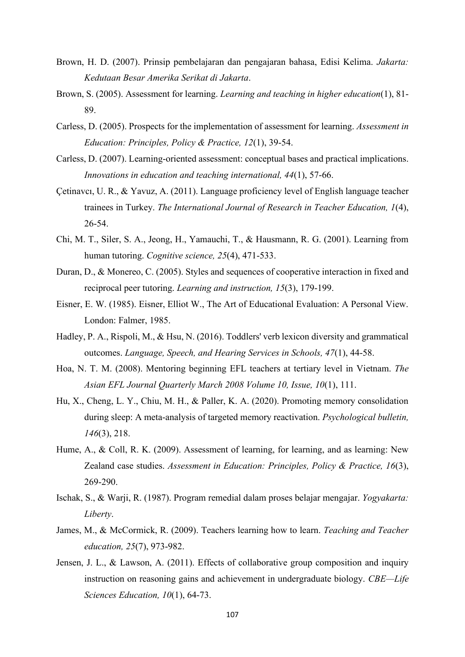- <span id="page-13-13"></span>Brown, H. D. (2007). Prinsip pembelajaran dan pengajaran bahasa, Edisi Kelima. *Jakarta: Kedutaan Besar Amerika Serikat di Jakarta*.
- <span id="page-13-4"></span>Brown, S. (2005). Assessment for learning. *Learning and teaching in higher education*(1), 81- 89.
- <span id="page-13-10"></span>Carless, D. (2005). Prospects for the implementation of assessment for learning. *Assessment in Education: Principles, Policy & Practice, 12*(1), 39-54.
- <span id="page-13-5"></span>Carless, D. (2007). Learning‐oriented assessment: conceptual bases and practical implications. *Innovations in education and teaching international, 44*(1), 57-66.
- <span id="page-13-0"></span>Çetinavcı, U. R., & Yavuz, A. (2011). Language proficiency level of English language teacher trainees in Turkey. *The International Journal of Research in Teacher Education, 1*(4), 26-54.
- <span id="page-13-7"></span>Chi, M. T., Siler, S. A., Jeong, H., Yamauchi, T., & Hausmann, R. G. (2001). Learning from human tutoring. *Cognitive science, 25*(4), 471-533.
- <span id="page-13-9"></span>Duran, D., & Monereo, C. (2005). Styles and sequences of cooperative interaction in fixed and reciprocal peer tutoring. *Learning and instruction, 15*(3), 179-199.
- <span id="page-13-6"></span>Eisner, E. W. (1985). Eisner, Elliot W., The Art of Educational Evaluation: A Personal View. London: Falmer, 1985.
- <span id="page-13-14"></span>Hadley, P. A., Rispoli, M., & Hsu, N. (2016). Toddlers' verb lexicon diversity and grammatical outcomes. *Language, Speech, and Hearing Services in Schools, 47*(1), 44-58.
- <span id="page-13-2"></span>Hoa, N. T. M. (2008). Mentoring beginning EFL teachers at tertiary level in Vietnam. *The Asian EFL Journal Quarterly March 2008 Volume 10, Issue, 10*(1), 111.
- <span id="page-13-1"></span>Hu, X., Cheng, L. Y., Chiu, M. H., & Paller, K. A. (2020). Promoting memory consolidation during sleep: A meta-analysis of targeted memory reactivation. *Psychological bulletin, 146*(3), 218.
- <span id="page-13-11"></span>Hume, A., & Coll, R. K. (2009). Assessment of learning, for learning, and as learning: New Zealand case studies. *Assessment in Education: Principles, Policy & Practice, 16*(3), 269-290.
- <span id="page-13-3"></span>Ischak, S., & Warji, R. (1987). Program remedial dalam proses belajar mengajar. *Yogyakarta: Liberty*.
- <span id="page-13-12"></span>James, M., & McCormick, R. (2009). Teachers learning how to learn. *Teaching and Teacher education, 25*(7), 973-982.
- <span id="page-13-8"></span>Jensen, J. L., & Lawson, A. (2011). Effects of collaborative group composition and inquiry instruction on reasoning gains and achievement in undergraduate biology. *CBE—Life Sciences Education, 10*(1), 64-73.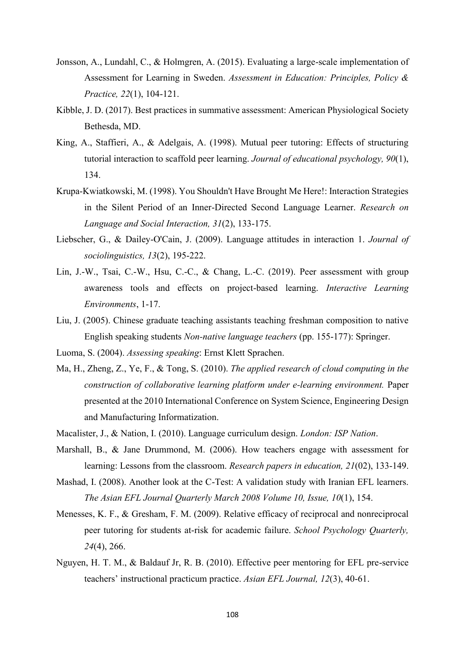- <span id="page-14-9"></span>Jonsson, A., Lundahl, C., & Holmgren, A. (2015). Evaluating a large-scale implementation of Assessment for Learning in Sweden. *Assessment in Education: Principles, Policy & Practice, 22*(1), 104-121.
- <span id="page-14-5"></span>Kibble, J. D. (2017). Best practices in summative assessment: American Physiological Society Bethesda, MD.
- <span id="page-14-6"></span>King, A., Staffieri, A., & Adelgais, A. (1998). Mutual peer tutoring: Effects of structuring tutorial interaction to scaffold peer learning. *Journal of educational psychology, 90*(1), 134.
- <span id="page-14-2"></span>Krupa-Kwiatkowski, M. (1998). You Shouldn't Have Brought Me Here!: Interaction Strategies in the Silent Period of an Inner-Directed Second Language Learner. *Research on Language and Social Interaction, 31*(2), 133-175.
- <span id="page-14-3"></span>Liebscher, G., & Dailey‐O'Cain, J. (2009). Language attitudes in interaction 1. *Journal of sociolinguistics, 13*(2), 195-222.
- <span id="page-14-12"></span>Lin, J.-W., Tsai, C.-W., Hsu, C.-C., & Chang, L.-C. (2019). Peer assessment with group awareness tools and effects on project-based learning. *Interactive Learning Environments*, 1-17.
- <span id="page-14-0"></span>Liu, J. (2005). Chinese graduate teaching assistants teaching freshman composition to native English speaking students *Non-native language teachers* (pp. 155-177): Springer.
- <span id="page-14-1"></span>Luoma, S. (2004). *Assessing speaking*: Ernst Klett Sprachen.
- <span id="page-14-4"></span>Ma, H., Zheng, Z., Ye, F., & Tong, S. (2010). *The applied research of cloud computing in the construction of collaborative learning platform under e-learning environment.* Paper presented at the 2010 International Conference on System Science, Engineering Design and Manufacturing Informatization.
- <span id="page-14-11"></span>Macalister, J., & Nation, I. (2010). Language curriculum design. *London: ISP Nation*.
- <span id="page-14-10"></span>Marshall, B., & Jane Drummond, M. (2006). How teachers engage with assessment for learning: Lessons from the classroom. *Research papers in education, 21*(02), 133-149.
- <span id="page-14-13"></span>Mashad, I. (2008). Another look at the C-Test: A validation study with Iranian EFL learners. *The Asian EFL Journal Quarterly March 2008 Volume 10, Issue, 10*(1), 154.
- <span id="page-14-7"></span>Menesses, K. F., & Gresham, F. M. (2009). Relative efficacy of reciprocal and nonreciprocal peer tutoring for students at-risk for academic failure. *School Psychology Quarterly, 24*(4), 266.
- <span id="page-14-8"></span>Nguyen, H. T. M., & Baldauf Jr, R. B. (2010). Effective peer mentoring for EFL pre-service teachers' instructional practicum practice. *Asian EFL Journal, 12*(3), 40-61.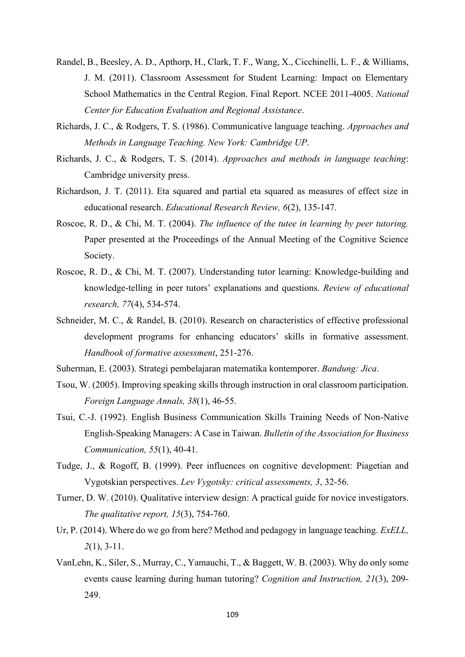- <span id="page-15-5"></span>Randel, B., Beesley, A. D., Apthorp, H., Clark, T. F., Wang, X., Cicchinelli, L. F., & Williams, J. M. (2011). Classroom Assessment for Student Learning: Impact on Elementary School Mathematics in the Central Region. Final Report. NCEE 2011-4005. *National Center for Education Evaluation and Regional Assistance*.
- <span id="page-15-11"></span>Richards, J. C., & Rodgers, T. S. (1986). Communicative language teaching. *Approaches and Methods in Language Teaching. New York: Cambridge UP*.
- <span id="page-15-12"></span>Richards, J. C., & Rodgers, T. S. (2014). *Approaches and methods in language teaching*: Cambridge university press.
- <span id="page-15-13"></span>Richardson, J. T. (2011). Eta squared and partial eta squared as measures of effect size in educational research. *Educational Research Review, 6*(2), 135-147.
- <span id="page-15-9"></span>Roscoe, R. D., & Chi, M. T. (2004). *The influence of the tutee in learning by peer tutoring.* Paper presented at the Proceedings of the Annual Meeting of the Cognitive Science Society.
- <span id="page-15-8"></span>Roscoe, R. D., & Chi, M. T. (2007). Understanding tutor learning: Knowledge-building and knowledge-telling in peer tutors' explanations and questions. *Review of educational research, 77*(4), 534-574.
- <span id="page-15-10"></span>Schneider, M. C., & Randel, B. (2010). Research on characteristics of effective professional development programs for enhancing educators' skills in formative assessment. *Handbook of formative assessment*, 251-276.

<span id="page-15-7"></span>Suherman, E. (2003). Strategi pembelajaran matematika kontemporer. *Bandung: Jica*.

- <span id="page-15-0"></span>Tsou, W. (2005). Improving speaking skills through instruction in oral classroom participation. *Foreign Language Annals, 38*(1), 46-55.
- <span id="page-15-1"></span>Tsui, C.-J. (1992). English Business Communication Skills Training Needs of Non-Native English-Speaking Managers: A Case in Taiwan. *Bulletin of the Association for Business Communication, 55*(1), 40-41.
- <span id="page-15-4"></span>Tudge, J., & Rogoff, B. (1999). Peer influences on cognitive development: Piagetian and Vygotskian perspectives. *Lev Vygotsky: critical assessments, 3*, 32-56.
- <span id="page-15-2"></span>Turner, D. W. (2010). Qualitative interview design: A practical guide for novice investigators. *The qualitative report, 15*(3), 754-760.
- <span id="page-15-3"></span>Ur, P. (2014). Where do we go from here? Method and pedagogy in language teaching. *ExELL, 2*(1), 3-11.
- <span id="page-15-6"></span>VanLehn, K., Siler, S., Murray, C., Yamauchi, T., & Baggett, W. B. (2003). Why do only some events cause learning during human tutoring? *Cognition and Instruction, 21*(3), 209- 249.